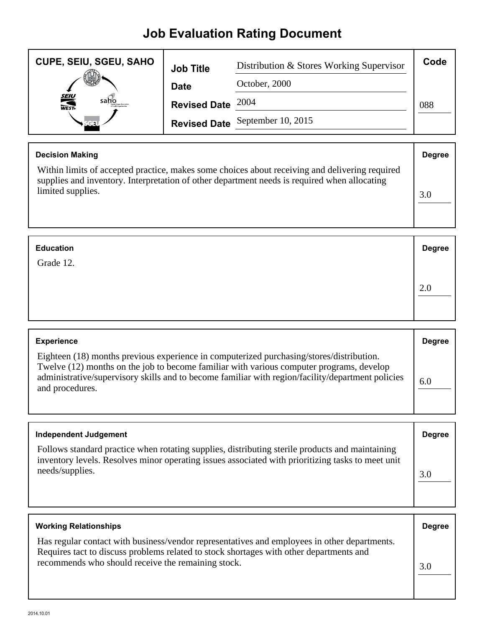## **Job Evaluation Rating Document**

| <b>CUPE, SEIU, SGEU, SAHO</b> | <b>Job Title</b>    | Distribution & Stores Working Supervisor | Code |
|-------------------------------|---------------------|------------------------------------------|------|
|                               | <b>Date</b>         | October, 2000                            |      |
| <b>SEIU</b><br>WEST-<br>saho  | Revised Date $2004$ |                                          | 088  |
|                               |                     | Revised Date September 10, 2015          |      |

| <b>Decision Making</b>                                                                                                                                                                         | <b>Degree</b> |
|------------------------------------------------------------------------------------------------------------------------------------------------------------------------------------------------|---------------|
| Within limits of accepted practice, makes some choices about receiving and delivering required<br>supplies and inventory. Interpretation of other department needs is required when allocating |               |
| limited supplies.                                                                                                                                                                              | 3.0           |
|                                                                                                                                                                                                |               |

| <b>Education</b> | <b>Degree</b> |
|------------------|---------------|
| Grade 12.        |               |
|                  | 2.0           |

| <b>Experience</b>                                                                                                                                                                                                                                                                                            | <b>Degree</b> |
|--------------------------------------------------------------------------------------------------------------------------------------------------------------------------------------------------------------------------------------------------------------------------------------------------------------|---------------|
| Eighteen (18) months previous experience in computerized purchasing/stores/distribution.<br>Twelve (12) months on the job to become familiar with various computer programs, develop<br>administrative/supervisory skills and to become familiar with region/facility/department policies<br>and procedures. | 6.0           |

| Independent Judgement                                                                                                                                                                                                   | <b>Degree</b> |
|-------------------------------------------------------------------------------------------------------------------------------------------------------------------------------------------------------------------------|---------------|
| Follows standard practice when rotating supplies, distributing sterile products and maintaining<br>inventory levels. Resolves minor operating issues associated with prioritizing tasks to meet unit<br>needs/supplies. | 3.0           |

| <b>Working Relationships</b>                                                                                                                                                                                                                  | <b>Degree</b> |
|-----------------------------------------------------------------------------------------------------------------------------------------------------------------------------------------------------------------------------------------------|---------------|
| Has regular contact with business/vendor representatives and employees in other departments.<br>Requires tact to discuss problems related to stock shortages with other departments and<br>recommends who should receive the remaining stock. | 3.0           |